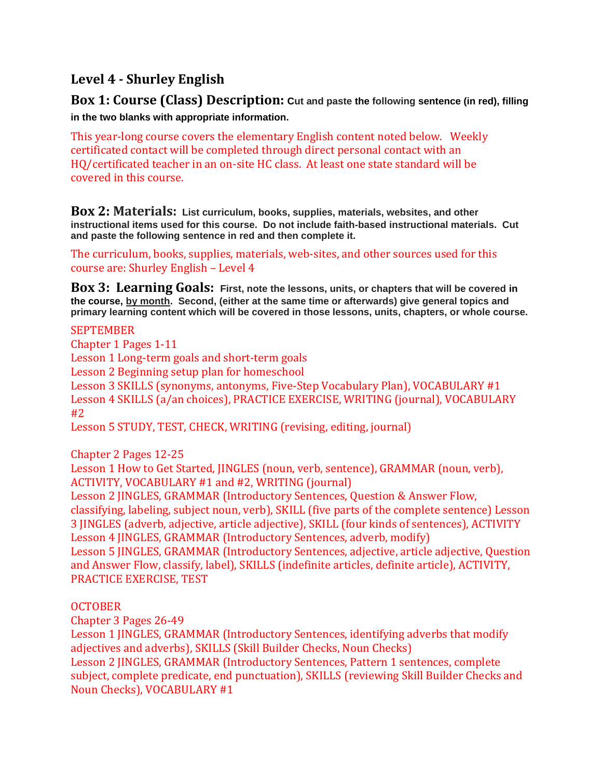# **Level 4 - Shurley English**

**Box 1: Course (Class) Description: Cut and paste the following sentence (in red), filling in the two blanks with appropriate information.** 

This year-long course covers the elementary English content noted below. Weekly certificated contact will be completed through direct personal contact with an HQ/certificated teacher in an on-site HC class. At least one state standard will be covered in this course.

**Box 2: Materials: List curriculum, books, supplies, materials, websites, and other instructional items used for this course. Do not include faith-based instructional materials. Cut and paste the following sentence in red and then complete it.**

The curriculum, books, supplies, materials, web-sites, and other sources used for this course are: Shurley English – Level 4

**Box 3: Learning Goals: First, note the lessons, units, or chapters that will be covered in the course, by month. Second, (either at the same time or afterwards) give general topics and primary learning content which will be covered in those lessons, units, chapters, or whole course.**

#### SEPTEMBER

Chapter 1 Pages 1-11

Lesson 1 Long-term goals and short-term goals

Lesson 2 Beginning setup plan for homeschool

Lesson 3 SKILLS (synonyms, antonyms, Five-Step Vocabulary Plan), VOCABULARY #1 Lesson 4 SKILLS (a/an choices), PRACTICE EXERCISE, WRITING (journal), VOCABULARY #2

Lesson 5 STUDY, TEST, CHECK, WRITING (revising, editing, journal)

Chapter 2 Pages 12-25

Lesson 1 How to Get Started, JINGLES (noun, verb, sentence), GRAMMAR (noun, verb), ACTIVITY, VOCABULARY #1 and #2, WRITING (journal)

Lesson 2 JINGLES, GRAMMAR (Introductory Sentences, Question & Answer Flow, classifying, labeling, subject noun, verb), SKILL (five parts of the complete sentence) Lesson 3 JINGLES (adverb, adjective, article adjective), SKILL (four kinds of sentences), ACTIVITY Lesson 4 JINGLES, GRAMMAR (Introductory Sentences, adverb, modify) Lesson 5 JINGLES, GRAMMAR (Introductory Sentences, adjective, article adjective, Question and Answer Flow, classify, label), SKILLS (indefinite articles, definite article), ACTIVITY, PRACTICE EXERCISE, TEST

### **OCTOBER**

Chapter 3 Pages 26-49

Lesson 1 JINGLES, GRAMMAR (Introductory Sentences, identifying adverbs that modify adjectives and adverbs), SKILLS (Skill Builder Checks, Noun Checks)

Lesson 2 JINGLES, GRAMMAR (Introductory Sentences, Pattern 1 sentences, complete subject, complete predicate, end punctuation), SKILLS (reviewing Skill Builder Checks and Noun Checks), VOCABULARY #1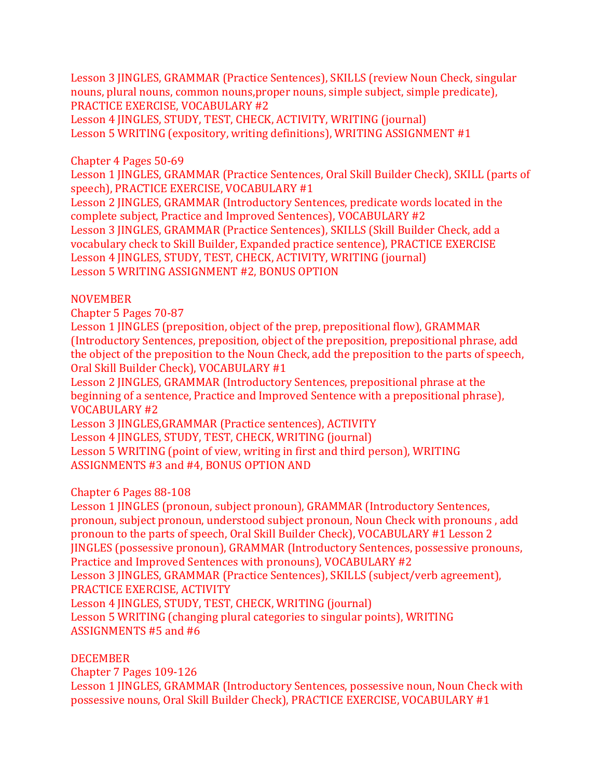Lesson 3 JINGLES, GRAMMAR (Practice Sentences), SKILLS (review Noun Check, singular nouns, plural nouns, common nouns,proper nouns, simple subject, simple predicate), PRACTICE EXERCISE, VOCABULARY #2

Lesson 4 JINGLES, STUDY, TEST, CHECK, ACTIVITY, WRITING (journal) Lesson 5 WRITING (expository, writing definitions), WRITING ASSIGNMENT #1

Chapter 4 Pages 50-69

Lesson 1 JINGLES, GRAMMAR (Practice Sentences, Oral Skill Builder Check), SKILL (parts of speech), PRACTICE EXERCISE, VOCABULARY #1

Lesson 2 JINGLES, GRAMMAR (Introductory Sentences, predicate words located in the complete subject, Practice and Improved Sentences), VOCABULARY #2 Lesson 3 JINGLES, GRAMMAR (Practice Sentences), SKILLS (Skill Builder Check, add a vocabulary check to Skill Builder, Expanded practice sentence), PRACTICE EXERCISE Lesson 4 JINGLES, STUDY, TEST, CHECK, ACTIVITY, WRITING (journal) Lesson 5 WRITING ASSIGNMENT #2, BONUS OPTION

### NOVEMBER

Chapter 5 Pages 70-87

Lesson 1 JINGLES (preposition, object of the prep, prepositional flow), GRAMMAR (Introductory Sentences, preposition, object of the preposition, prepositional phrase, add the object of the preposition to the Noun Check, add the preposition to the parts of speech, Oral Skill Builder Check), VOCABULARY #1

Lesson 2 JINGLES, GRAMMAR (Introductory Sentences, prepositional phrase at the beginning of a sentence, Practice and Improved Sentence with a prepositional phrase), VOCABULARY #2

Lesson 3 JINGLES,GRAMMAR (Practice sentences), ACTIVITY

Lesson 4 JINGLES, STUDY, TEST, CHECK, WRITING (journal)

Lesson 5 WRITING (point of view, writing in first and third person), WRITING ASSIGNMENTS #3 and #4, BONUS OPTION AND

### Chapter 6 Pages 88-108

Lesson 1 JINGLES (pronoun, subject pronoun), GRAMMAR (Introductory Sentences, pronoun, subject pronoun, understood subject pronoun, Noun Check with pronouns , add pronoun to the parts of speech, Oral Skill Builder Check), VOCABULARY #1 Lesson 2 JINGLES (possessive pronoun), GRAMMAR (Introductory Sentences, possessive pronouns, Practice and Improved Sentences with pronouns), VOCABULARY #2 Lesson 3 JINGLES, GRAMMAR (Practice Sentences), SKILLS (subject/verb agreement), PRACTICE EXERCISE, ACTIVITY Lesson 4 JINGLES, STUDY, TEST, CHECK, WRITING (journal) Lesson 5 WRITING (changing plural categories to singular points), WRITING ASSIGNMENTS #5 and #6

### DECEMBER

Chapter 7 Pages 109-126

Lesson 1 JINGLES, GRAMMAR (Introductory Sentences, possessive noun, Noun Check with possessive nouns, Oral Skill Builder Check), PRACTICE EXERCISE, VOCABULARY #1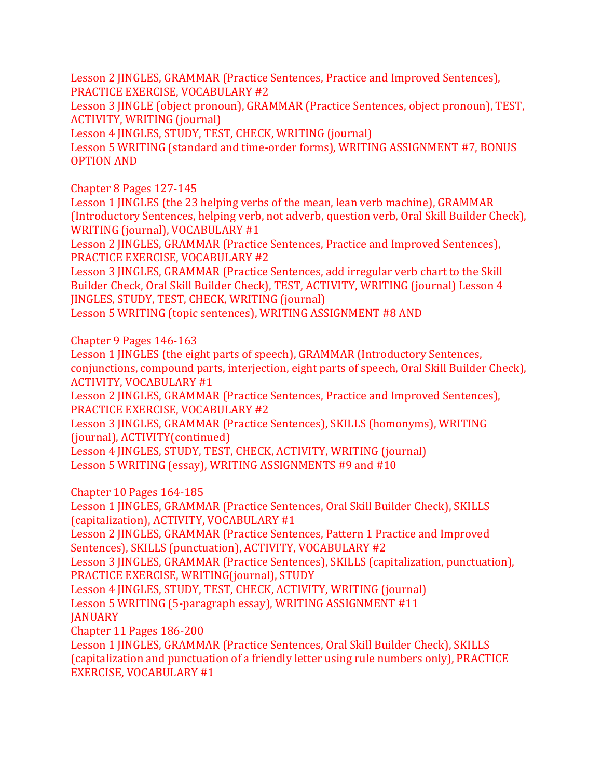Lesson 2 JINGLES, GRAMMAR (Practice Sentences, Practice and Improved Sentences), PRACTICE EXERCISE, VOCABULARY #2

Lesson 3 JINGLE (object pronoun), GRAMMAR (Practice Sentences, object pronoun), TEST, ACTIVITY, WRITING (journal)

Lesson 4 JINGLES, STUDY, TEST, CHECK, WRITING (journal)

Lesson 5 WRITING (standard and time-order forms), WRITING ASSIGNMENT #7, BONUS OPTION AND

Chapter 8 Pages 127-145

Lesson 1 JINGLES (the 23 helping verbs of the mean, lean verb machine), GRAMMAR (Introductory Sentences, helping verb, not adverb, question verb, Oral Skill Builder Check), WRITING (journal), VOCABULARY #1

Lesson 2 JINGLES, GRAMMAR (Practice Sentences, Practice and Improved Sentences), PRACTICE EXERCISE, VOCABULARY #2

Lesson 3 JINGLES, GRAMMAR (Practice Sentences, add irregular verb chart to the Skill Builder Check, Oral Skill Builder Check), TEST, ACTIVITY, WRITING (journal) Lesson 4 JINGLES, STUDY, TEST, CHECK, WRITING (journal)

Lesson 5 WRITING (topic sentences), WRITING ASSIGNMENT #8 AND

Chapter 9 Pages 146-163

Lesson 1 JINGLES (the eight parts of speech), GRAMMAR (Introductory Sentences, conjunctions, compound parts, interjection, eight parts of speech, Oral Skill Builder Check), ACTIVITY, VOCABULARY #1

Lesson 2 JINGLES, GRAMMAR (Practice Sentences, Practice and Improved Sentences), PRACTICE EXERCISE, VOCABULARY #2

Lesson 3 JINGLES, GRAMMAR (Practice Sentences), SKILLS (homonyms), WRITING (journal), ACTIVITY(continued)

Lesson 4 JINGLES, STUDY, TEST, CHECK, ACTIVITY, WRITING (journal) Lesson 5 WRITING (essay), WRITING ASSIGNMENTS #9 and #10

Chapter 10 Pages 164-185

Lesson 1 JINGLES, GRAMMAR (Practice Sentences, Oral Skill Builder Check), SKILLS (capitalization), ACTIVITY, VOCABULARY #1

Lesson 2 JINGLES, GRAMMAR (Practice Sentences, Pattern 1 Practice and Improved Sentences), SKILLS (punctuation), ACTIVITY, VOCABULARY #2

Lesson 3 JINGLES, GRAMMAR (Practice Sentences), SKILLS (capitalization, punctuation), PRACTICE EXERCISE, WRITING(journal), STUDY

Lesson 4 JINGLES, STUDY, TEST, CHECK, ACTIVITY, WRITING (journal)

Lesson 5 WRITING (5-paragraph essay), WRITING ASSIGNMENT #11 JANUARY

Chapter 11 Pages 186-200

Lesson 1 JINGLES, GRAMMAR (Practice Sentences, Oral Skill Builder Check), SKILLS (capitalization and punctuation of a friendly letter using rule numbers only), PRACTICE EXERCISE, VOCABULARY #1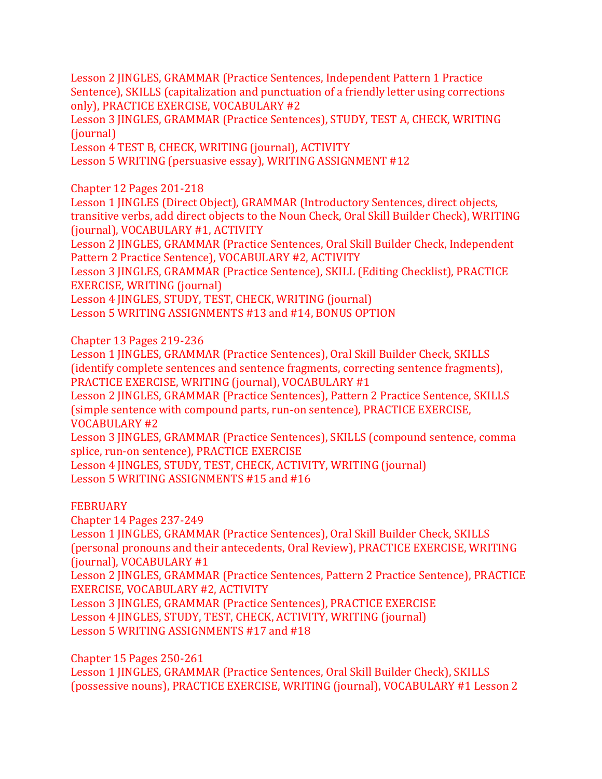Lesson 2 JINGLES, GRAMMAR (Practice Sentences, Independent Pattern 1 Practice Sentence), SKILLS (capitalization and punctuation of a friendly letter using corrections only), PRACTICE EXERCISE, VOCABULARY #2

Lesson 3 JINGLES, GRAMMAR (Practice Sentences), STUDY, TEST A, CHECK, WRITING (journal)

Lesson 4 TEST B, CHECK, WRITING (journal), ACTIVITY

Lesson 5 WRITING (persuasive essay), WRITING ASSIGNMENT #12

Chapter 12 Pages 201-218

Lesson 1 JINGLES (Direct Object), GRAMMAR (Introductory Sentences, direct objects, transitive verbs, add direct objects to the Noun Check, Oral Skill Builder Check), WRITING (journal), VOCABULARY #1, ACTIVITY

Lesson 2 JINGLES, GRAMMAR (Practice Sentences, Oral Skill Builder Check, Independent Pattern 2 Practice Sentence), VOCABULARY #2, ACTIVITY

Lesson 3 JINGLES, GRAMMAR (Practice Sentence), SKILL (Editing Checklist), PRACTICE EXERCISE, WRITING (journal)

Lesson 4 JINGLES, STUDY, TEST, CHECK, WRITING (journal)

Lesson 5 WRITING ASSIGNMENTS #13 and #14, BONUS OPTION

Chapter 13 Pages 219-236

Lesson 1 JINGLES, GRAMMAR (Practice Sentences), Oral Skill Builder Check, SKILLS (identify complete sentences and sentence fragments, correcting sentence fragments), PRACTICE EXERCISE, WRITING (journal), VOCABULARY #1

Lesson 2 JINGLES, GRAMMAR (Practice Sentences), Pattern 2 Practice Sentence, SKILLS (simple sentence with compound parts, run-on sentence), PRACTICE EXERCISE, VOCABULARY #2

Lesson 3 JINGLES, GRAMMAR (Practice Sentences), SKILLS (compound sentence, comma splice, run-on sentence), PRACTICE EXERCISE

Lesson 4 JINGLES, STUDY, TEST, CHECK, ACTIVITY, WRITING (journal) Lesson 5 WRITING ASSIGNMENTS #15 and #16

#### **FEBRUARY**

Chapter 14 Pages 237-249

Lesson 1 JINGLES, GRAMMAR (Practice Sentences), Oral Skill Builder Check, SKILLS (personal pronouns and their antecedents, Oral Review), PRACTICE EXERCISE, WRITING (journal), VOCABULARY #1

Lesson 2 JINGLES, GRAMMAR (Practice Sentences, Pattern 2 Practice Sentence), PRACTICE EXERCISE, VOCABULARY #2, ACTIVITY

Lesson 3 JINGLES, GRAMMAR (Practice Sentences), PRACTICE EXERCISE Lesson 4 JINGLES, STUDY, TEST, CHECK, ACTIVITY, WRITING (journal) Lesson 5 WRITING ASSIGNMENTS #17 and #18

Chapter 15 Pages 250-261

Lesson 1 JINGLES, GRAMMAR (Practice Sentences, Oral Skill Builder Check), SKILLS (possessive nouns), PRACTICE EXERCISE, WRITING (journal), VOCABULARY #1 Lesson 2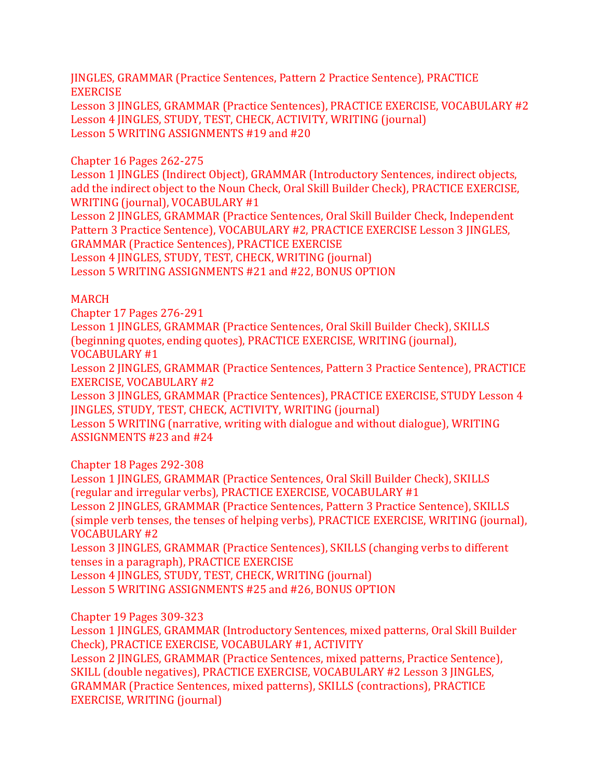JINGLES, GRAMMAR (Practice Sentences, Pattern 2 Practice Sentence), PRACTICE EXERCISE

Lesson 3 JINGLES, GRAMMAR (Practice Sentences), PRACTICE EXERCISE, VOCABULARY #2 Lesson 4 JINGLES, STUDY, TEST, CHECK, ACTIVITY, WRITING (journal) Lesson 5 WRITING ASSIGNMENTS #19 and #20

### Chapter 16 Pages 262-275

Lesson 1 JINGLES (Indirect Object), GRAMMAR (Introductory Sentences, indirect objects, add the indirect object to the Noun Check, Oral Skill Builder Check), PRACTICE EXERCISE, WRITING (journal), VOCABULARY #1

Lesson 2 JINGLES, GRAMMAR (Practice Sentences, Oral Skill Builder Check, Independent Pattern 3 Practice Sentence), VOCABULARY #2, PRACTICE EXERCISE Lesson 3 JINGLES, GRAMMAR (Practice Sentences), PRACTICE EXERCISE

Lesson 4 JINGLES, STUDY, TEST, CHECK, WRITING (journal)

Lesson 5 WRITING ASSIGNMENTS #21 and #22, BONUS OPTION

### MARCH

Chapter 17 Pages 276-291

Lesson 1 JINGLES, GRAMMAR (Practice Sentences, Oral Skill Builder Check), SKILLS (beginning quotes, ending quotes), PRACTICE EXERCISE, WRITING (journal), VOCABULARY #1

Lesson 2 JINGLES, GRAMMAR (Practice Sentences, Pattern 3 Practice Sentence), PRACTICE EXERCISE, VOCABULARY #2

Lesson 3 JINGLES, GRAMMAR (Practice Sentences), PRACTICE EXERCISE, STUDY Lesson 4 JINGLES, STUDY, TEST, CHECK, ACTIVITY, WRITING (journal)

Lesson 5 WRITING (narrative, writing with dialogue and without dialogue), WRITING ASSIGNMENTS #23 and #24

### Chapter 18 Pages 292-308

Lesson 1 JINGLES, GRAMMAR (Practice Sentences, Oral Skill Builder Check), SKILLS (regular and irregular verbs), PRACTICE EXERCISE, VOCABULARY #1

Lesson 2 JINGLES, GRAMMAR (Practice Sentences, Pattern 3 Practice Sentence), SKILLS (simple verb tenses, the tenses of helping verbs), PRACTICE EXERCISE, WRITING (journal), VOCABULARY #2

Lesson 3 JINGLES, GRAMMAR (Practice Sentences), SKILLS (changing verbs to different tenses in a paragraph), PRACTICE EXERCISE

Lesson 4 JINGLES, STUDY, TEST, CHECK, WRITING (journal) Lesson 5 WRITING ASSIGNMENTS #25 and #26, BONUS OPTION

Chapter 19 Pages 309-323

Lesson 1 JINGLES, GRAMMAR (Introductory Sentences, mixed patterns, Oral Skill Builder Check), PRACTICE EXERCISE, VOCABULARY #1, ACTIVITY Lesson 2 JINGLES, GRAMMAR (Practice Sentences, mixed patterns, Practice Sentence), SKILL (double negatives), PRACTICE EXERCISE, VOCABULARY #2 Lesson 3 JINGLES, GRAMMAR (Practice Sentences, mixed patterns), SKILLS (contractions), PRACTICE EXERCISE, WRITING (journal)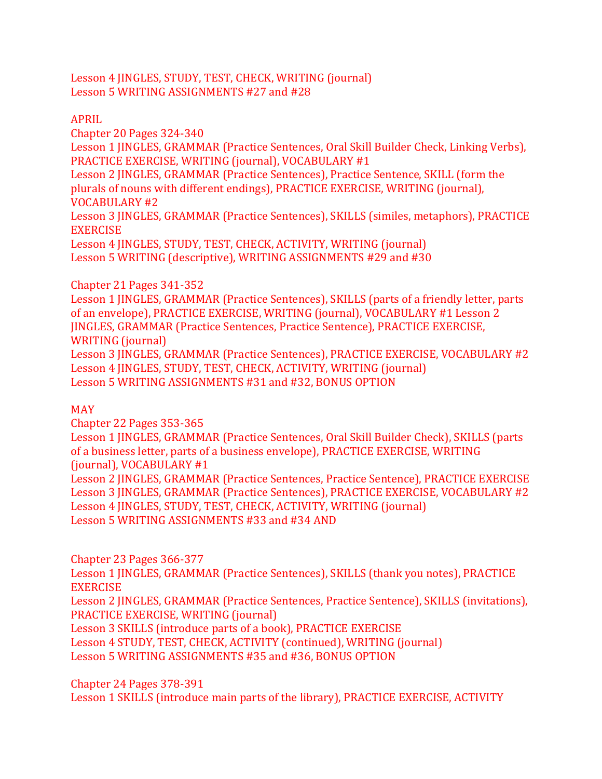Lesson 4 JINGLES, STUDY, TEST, CHECK, WRITING (journal) Lesson 5 WRITING ASSIGNMENTS #27 and #28

### APRIL

Chapter 20 Pages 324-340

Lesson 1 JINGLES, GRAMMAR (Practice Sentences, Oral Skill Builder Check, Linking Verbs), PRACTICE EXERCISE, WRITING (journal), VOCABULARY #1

Lesson 2 JINGLES, GRAMMAR (Practice Sentences), Practice Sentence, SKILL (form the plurals of nouns with different endings), PRACTICE EXERCISE, WRITING (journal),

VOCABULARY #2

Lesson 3 JINGLES, GRAMMAR (Practice Sentences), SKILLS (similes, metaphors), PRACTICE EXERCISE

Lesson 4 JINGLES, STUDY, TEST, CHECK, ACTIVITY, WRITING (journal) Lesson 5 WRITING (descriptive), WRITING ASSIGNMENTS #29 and #30

## Chapter 21 Pages 341-352

Lesson 1 JINGLES, GRAMMAR (Practice Sentences), SKILLS (parts of a friendly letter, parts of an envelope), PRACTICE EXERCISE, WRITING (journal), VOCABULARY #1 Lesson 2 JINGLES, GRAMMAR (Practice Sentences, Practice Sentence), PRACTICE EXERCISE, WRITING (journal) Lesson 3 JINGLES, GRAMMAR (Practice Sentences), PRACTICE EXERCISE, VOCABULARY #2 Lesson 4 JINGLES, STUDY, TEST, CHECK, ACTIVITY, WRITING (journal)

Lesson 5 WRITING ASSIGNMENTS #31 and #32, BONUS OPTION

# MAY

Chapter 22 Pages 353-365 Lesson 1 JINGLES, GRAMMAR (Practice Sentences, Oral Skill Builder Check), SKILLS (parts of a business letter, parts of a business envelope), PRACTICE EXERCISE, WRITING (journal), VOCABULARY #1 Lesson 2 JINGLES, GRAMMAR (Practice Sentences, Practice Sentence), PRACTICE EXERCISE Lesson 3 JINGLES, GRAMMAR (Practice Sentences), PRACTICE EXERCISE, VOCABULARY #2 Lesson 4 JINGLES, STUDY, TEST, CHECK, ACTIVITY, WRITING (journal) Lesson 5 WRITING ASSIGNMENTS #33 and #34 AND

Chapter 23 Pages 366-377

Lesson 1 JINGLES, GRAMMAR (Practice Sentences), SKILLS (thank you notes), PRACTICE EXERCISE

Lesson 2 JINGLES, GRAMMAR (Practice Sentences, Practice Sentence), SKILLS (invitations), PRACTICE EXERCISE, WRITING (journal)

Lesson 3 SKILLS (introduce parts of a book), PRACTICE EXERCISE

Lesson 4 STUDY, TEST, CHECK, ACTIVITY (continued), WRITING (journal)

Lesson 5 WRITING ASSIGNMENTS #35 and #36, BONUS OPTION

Chapter 24 Pages 378-391

Lesson 1 SKILLS (introduce main parts of the library), PRACTICE EXERCISE, ACTIVITY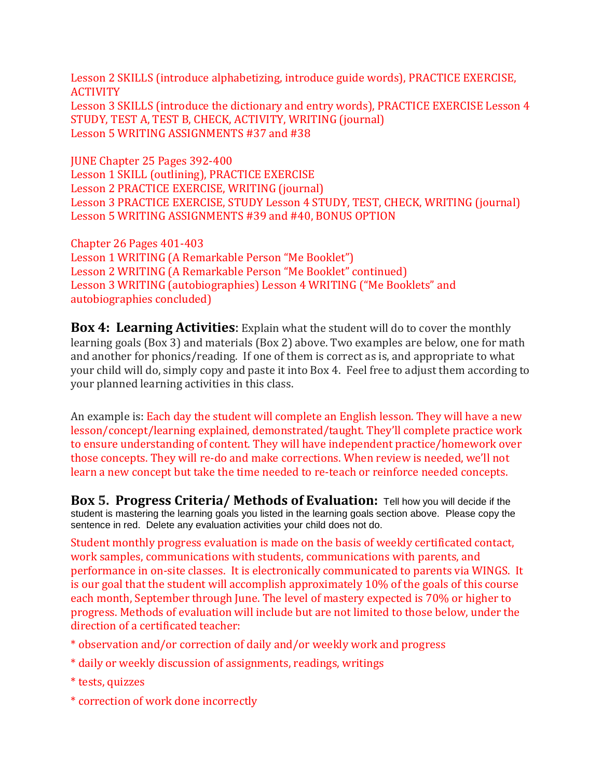Lesson 2 SKILLS (introduce alphabetizing, introduce guide words), PRACTICE EXERCISE, **ACTIVITY** Lesson 3 SKILLS (introduce the dictionary and entry words), PRACTICE EXERCISE Lesson 4 STUDY, TEST A, TEST B, CHECK, ACTIVITY, WRITING (journal) Lesson 5 WRITING ASSIGNMENTS #37 and #38

JUNE Chapter 25 Pages 392-400 Lesson 1 SKILL (outlining), PRACTICE EXERCISE Lesson 2 PRACTICE EXERCISE, WRITING (journal) Lesson 3 PRACTICE EXERCISE, STUDY Lesson 4 STUDY, TEST, CHECK, WRITING (journal) Lesson 5 WRITING ASSIGNMENTS #39 and #40, BONUS OPTION

Chapter 26 Pages 401-403 Lesson 1 WRITING (A Remarkable Person "Me Booklet") Lesson 2 WRITING (A Remarkable Person "Me Booklet" continued) Lesson 3 WRITING (autobiographies) Lesson 4 WRITING ("Me Booklets" and autobiographies concluded)

**Box 4: Learning Activities**: Explain what the student will do to cover the monthly learning goals (Box 3) and materials (Box 2) above. Two examples are below, one for math and another for phonics/reading. If one of them is correct as is, and appropriate to what your child will do, simply copy and paste it into Box 4. Feel free to adjust them according to your planned learning activities in this class.

An example is: Each day the student will complete an English lesson. They will have a new lesson/concept/learning explained, demonstrated/taught. They'll complete practice work to ensure understanding of content. They will have independent practice/homework over those concepts. They will re-do and make corrections. When review is needed, we'll not learn a new concept but take the time needed to re-teach or reinforce needed concepts.

**Box 5. Progress Criteria/ Methods of Evaluation:** Tell how you will decide if the student is mastering the learning goals you listed in the learning goals section above. Please copy the sentence in red. Delete any evaluation activities your child does not do.

Student monthly progress evaluation is made on the basis of weekly certificated contact, work samples, communications with students, communications with parents, and performance in on-site classes. It is electronically communicated to parents via WINGS. It is our goal that the student will accomplish approximately 10% of the goals of this course each month, September through June. The level of mastery expected is 70% or higher to progress. Methods of evaluation will include but are not limited to those below, under the direction of a certificated teacher:

- \* observation and/or correction of daily and/or weekly work and progress
- \* daily or weekly discussion of assignments, readings, writings
- \* tests, quizzes
- \* correction of work done incorrectly